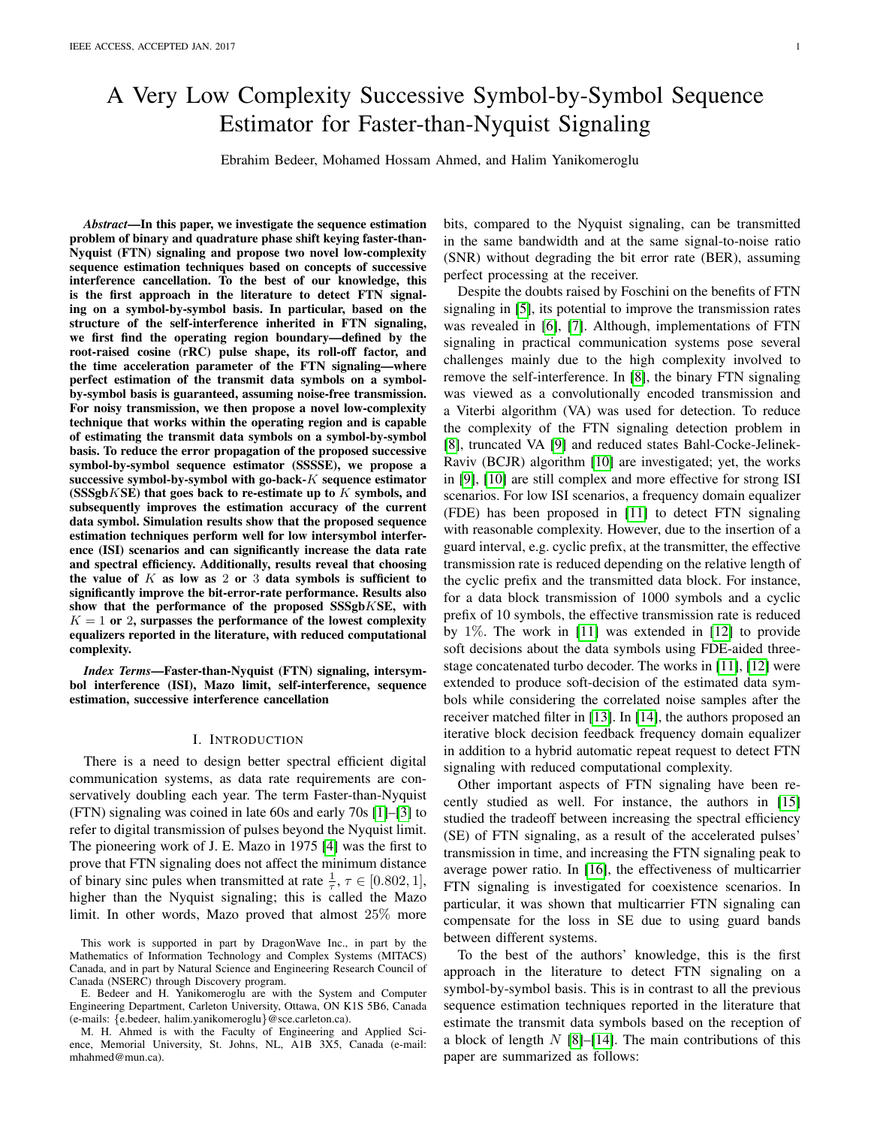# A Very Low Complexity Successive Symbol-by-Symbol Sequence Estimator for Faster-than-Nyquist Signaling

Ebrahim Bedeer, Mohamed Hossam Ahmed, and Halim Yanikomeroglu

*Abstract*—In this paper, we investigate the sequence estimation problem of binary and quadrature phase shift keying faster-than-Nyquist (FTN) signaling and propose two novel low-complexity sequence estimation techniques based on concepts of successive interference cancellation. To the best of our knowledge, this is the first approach in the literature to detect FTN signaling on a symbol-by-symbol basis. In particular, based on the structure of the self-interference inherited in FTN signaling, we first find the operating region boundary—defined by the root-raised cosine (rRC) pulse shape, its roll-off factor, and the time acceleration parameter of the FTN signaling—where perfect estimation of the transmit data symbols on a symbolby-symbol basis is guaranteed, assuming noise-free transmission. For noisy transmission, we then propose a novel low-complexity technique that works within the operating region and is capable of estimating the transmit data symbols on a symbol-by-symbol basis. To reduce the error propagation of the proposed successive symbol-by-symbol sequence estimator (SSSSE), we propose a successive symbol-by-symbol with go-back- $K$  sequence estimator (SSSgb $KSE$ ) that goes back to re-estimate up to K symbols, and subsequently improves the estimation accuracy of the current data symbol. Simulation results show that the proposed sequence estimation techniques perform well for low intersymbol interference (ISI) scenarios and can significantly increase the data rate and spectral efficiency. Additionally, results reveal that choosing the value of  $K$  as low as 2 or 3 data symbols is sufficient to significantly improve the bit-error-rate performance. Results also show that the performance of the proposed SSSgbKSE, with  $K = 1$  or 2, surpasses the performance of the lowest complexity equalizers reported in the literature, with reduced computational complexity.

*Index Terms*—Faster-than-Nyquist (FTN) signaling, intersymbol interference (ISI), Mazo limit, self-interference, sequence estimation, successive interference cancellation

#### I. INTRODUCTION

There is a need to design better spectral efficient digital communication systems, as data rate requirements are conservatively doubling each year. The term Faster-than-Nyquist (FTN) signaling was coined in late 60s and early 70s [\[1\]](#page-6-0)–[\[3\]](#page-6-1) to refer to digital transmission of pulses beyond the Nyquist limit. The pioneering work of J. E. Mazo in 1975 [\[4\]](#page-6-2) was the first to prove that FTN signaling does not affect the minimum distance of binary sinc pules when transmitted at rate  $\frac{1}{\tau}$ ,  $\tau \in [0.802, 1]$ , higher than the Nyquist signaling; this is called the Mazo limit. In other words, Mazo proved that almost 25% more

bits, compared to the Nyquist signaling, can be transmitted in the same bandwidth and at the same signal-to-noise ratio (SNR) without degrading the bit error rate (BER), assuming perfect processing at the receiver.

Despite the doubts raised by Foschini on the benefits of FTN signaling in [\[5\]](#page-6-3), its potential to improve the transmission rates was revealed in [\[6\]](#page-6-4), [\[7\]](#page-6-5). Although, implementations of FTN signaling in practical communication systems pose several challenges mainly due to the high complexity involved to remove the self-interference. In [\[8\]](#page-6-6), the binary FTN signaling was viewed as a convolutionally encoded transmission and a Viterbi algorithm (VA) was used for detection. To reduce the complexity of the FTN signaling detection problem in [\[8\]](#page-6-6), truncated VA [\[9\]](#page-6-7) and reduced states Bahl-Cocke-Jelinek-Raviv (BCJR) algorithm [\[10\]](#page-6-8) are investigated; yet, the works in [\[9\]](#page-6-7), [\[10\]](#page-6-8) are still complex and more effective for strong ISI scenarios. For low ISI scenarios, a frequency domain equalizer (FDE) has been proposed in [\[11\]](#page-6-9) to detect FTN signaling with reasonable complexity. However, due to the insertion of a guard interval, e.g. cyclic prefix, at the transmitter, the effective transmission rate is reduced depending on the relative length of the cyclic prefix and the transmitted data block. For instance, for a data block transmission of 1000 symbols and a cyclic prefix of 10 symbols, the effective transmission rate is reduced by 1%. The work in [\[11\]](#page-6-9) was extended in [\[12\]](#page-6-10) to provide soft decisions about the data symbols using FDE-aided threestage concatenated turbo decoder. The works in [\[11\]](#page-6-9), [\[12\]](#page-6-10) were extended to produce soft-decision of the estimated data symbols while considering the correlated noise samples after the receiver matched filter in [\[13\]](#page-6-11). In [\[14\]](#page-7-0), the authors proposed an iterative block decision feedback frequency domain equalizer in addition to a hybrid automatic repeat request to detect FTN signaling with reduced computational complexity.

Other important aspects of FTN signaling have been recently studied as well. For instance, the authors in [\[15\]](#page-7-1) studied the tradeoff between increasing the spectral efficiency (SE) of FTN signaling, as a result of the accelerated pulses' transmission in time, and increasing the FTN signaling peak to average power ratio. In [\[16\]](#page-7-2), the effectiveness of multicarrier FTN signaling is investigated for coexistence scenarios. In particular, it was shown that multicarrier FTN signaling can compensate for the loss in SE due to using guard bands between different systems.

To the best of the authors' knowledge, this is the first approach in the literature to detect FTN signaling on a symbol-by-symbol basis. This is in contrast to all the previous sequence estimation techniques reported in the literature that estimate the transmit data symbols based on the reception of a block of length  $N$  [\[8\]](#page-6-6)–[\[14\]](#page-7-0). The main contributions of this paper are summarized as follows:

This work is supported in part by DragonWave Inc., in part by the Mathematics of Information Technology and Complex Systems (MITACS) Canada, and in part by Natural Science and Engineering Research Council of Canada (NSERC) through Discovery program.

E. Bedeer and H. Yanikomeroglu are with the System and Computer Engineering Department, Carleton University, Ottawa, ON K1S 5B6, Canada (e-mails: {e.bedeer, halim.yanikomeroglu}@sce.carleton.ca).

M. H. Ahmed is with the Faculty of Engineering and Applied Science, Memorial University, St. Johns, NL, A1B 3X5, Canada (e-mail: mhahmed@mun.ca).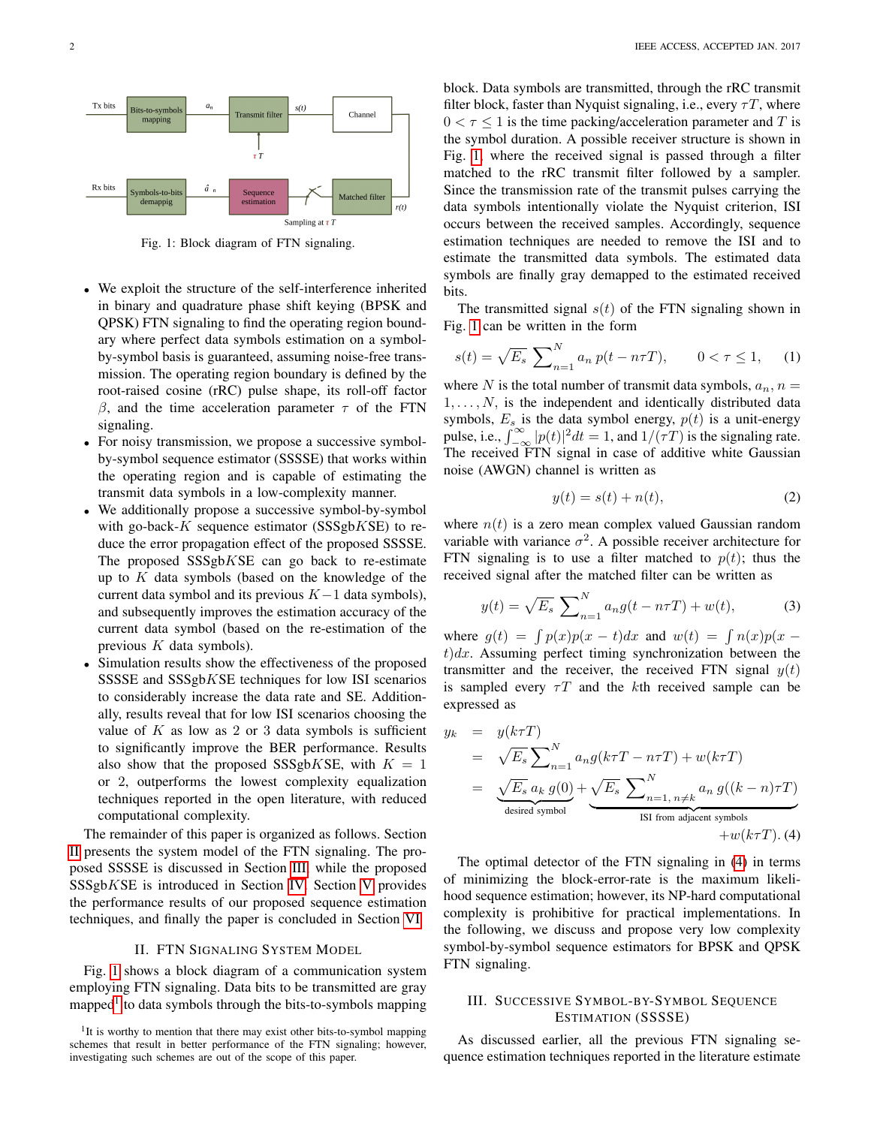<span id="page-1-2"></span>

Fig. 1: Block diagram of FTN signaling.

- We exploit the structure of the self-interference inherited in binary and quadrature phase shift keying (BPSK and QPSK) FTN signaling to find the operating region boundary where perfect data symbols estimation on a symbolby-symbol basis is guaranteed, assuming noise-free transmission. The operating region boundary is defined by the root-raised cosine (rRC) pulse shape, its roll-off factor β, and the time acceleration parameter  $τ$  of the FTN signaling.
- For noisy transmission, we propose a successive symbolby-symbol sequence estimator (SSSSE) that works within the operating region and is capable of estimating the transmit data symbols in a low-complexity manner.
- We additionally propose a successive symbol-by-symbol with go-back- $K$  sequence estimator (SSSgb $KSE$ ) to reduce the error propagation effect of the proposed SSSSE. The proposed SSSgbKSE can go back to re-estimate up to  $K$  data symbols (based on the knowledge of the current data symbol and its previous  $K-1$  data symbols), and subsequently improves the estimation accuracy of the current data symbol (based on the re-estimation of the previous  $K$  data symbols).
- Simulation results show the effectiveness of the proposed SSSSE and SSSgbKSE techniques for low ISI scenarios to considerably increase the data rate and SE. Additionally, results reveal that for low ISI scenarios choosing the value of  $K$  as low as 2 or 3 data symbols is sufficient to significantly improve the BER performance. Results also show that the proposed SSSgbKSE, with  $K = 1$ or 2, outperforms the lowest complexity equalization techniques reported in the open literature, with reduced computational complexity.

The remainder of this paper is organized as follows. Section [II](#page-1-0) presents the system model of the FTN signaling. The proposed SSSSE is discussed in Section [III,](#page-1-1) while the proposed SSSgbKSE is introduced in Section [IV.](#page-4-0) Section [V](#page-5-0) provides the performance results of our proposed sequence estimation techniques, and finally the paper is concluded in Section [VI](#page-6-12)

#### II. FTN SIGNALING SYSTEM MODEL

<span id="page-1-0"></span>Fig. [1](#page-1-2) shows a block diagram of a communication system employing FTN signaling. Data bits to be transmitted are gray mapped<sup>[1](#page-1-3)</sup> to data symbols through the bits-to-symbols mapping

<span id="page-1-3"></span><sup>1</sup>It is worthy to mention that there may exist other bits-to-symbol mapping schemes that result in better performance of the FTN signaling; however, investigating such schemes are out of the scope of this paper.

block. Data symbols are transmitted, through the rRC transmit filter block, faster than Nyquist signaling, i.e., every  $\tau T$ , where  $0 < \tau \leq 1$  is the time packing/acceleration parameter and T is the symbol duration. A possible receiver structure is shown in Fig. [1,](#page-1-2) where the received signal is passed through a filter matched to the rRC transmit filter followed by a sampler. Since the transmission rate of the transmit pulses carrying the data symbols intentionally violate the Nyquist criterion, ISI occurs between the received samples. Accordingly, sequence estimation techniques are needed to remove the ISI and to estimate the transmitted data symbols. The estimated data symbols are finally gray demapped to the estimated received bits.

The transmitted signal  $s(t)$  of the FTN signaling shown in Fig. [1](#page-1-2) can be written in the form

$$
s(t) = \sqrt{E_s} \sum_{n=1}^{N} a_n p(t - n\tau T), \qquad 0 < \tau \le 1,\tag{1}
$$

where N is the total number of transmit data symbols,  $a_n$ ,  $n =$  $1, \ldots, N$ , is the independent and identically distributed data symbols,  $E_s$  is the data symbol energy,  $p(t)$  is a unit-energy pulse, i.e.,  $\int_{-\infty}^{\infty} |p(t)|^2 dt = 1$ , and  $1/(\tau T)$  is the signaling rate. The received FTN signal in case of additive white Gaussian noise (AWGN) channel is written as

$$
y(t) = s(t) + n(t),\tag{2}
$$

where  $n(t)$  is a zero mean complex valued Gaussian random variable with variance  $\sigma^2$ . A possible receiver architecture for FTN signaling is to use a filter matched to  $p(t)$ ; thus the received signal after the matched filter can be written as

$$
y(t) = \sqrt{E_s} \sum_{n=1}^{N} a_n g(t - n\tau T) + w(t),
$$
 (3)

where  $g(t) = \int p(x)p(x - t)dx$  and  $w(t) = \int n(x)p(x - t)dx$  $t)dx$ . Assuming perfect timing synchronization between the transmitter and the receiver, the received FTN signal  $y(t)$ is sampled every  $\tau T$  and the kth received sample can be expressed as

<span id="page-1-4"></span>
$$
y_k = y(k\tau T)
$$
  
=  $\sqrt{E_s} \sum_{n=1}^{N} a_n g(k\tau T - n\tau T) + w(k\tau T)$   
=  $\underbrace{\sqrt{E_s} a_k g(0)}_{\text{desired symbol}} + \underbrace{\sqrt{E_s} \sum_{n=1, n \neq k}^{N} a_n g((k - n)\tau T)}_{\text{ISI from adjacent symbols}} + w(k\tau T)$ . (4)

The optimal detector of the FTN signaling in [\(4\)](#page-1-4) in terms of minimizing the block-error-rate is the maximum likelihood sequence estimation; however, its NP-hard computational complexity is prohibitive for practical implementations. In the following, we discuss and propose very low complexity symbol-by-symbol sequence estimators for BPSK and QPSK FTN signaling.

# <span id="page-1-1"></span>III. SUCCESSIVE SYMBOL-BY-SYMBOL SEQUENCE ESTIMATION (SSSSE)

As discussed earlier, all the previous FTN signaling sequence estimation techniques reported in the literature estimate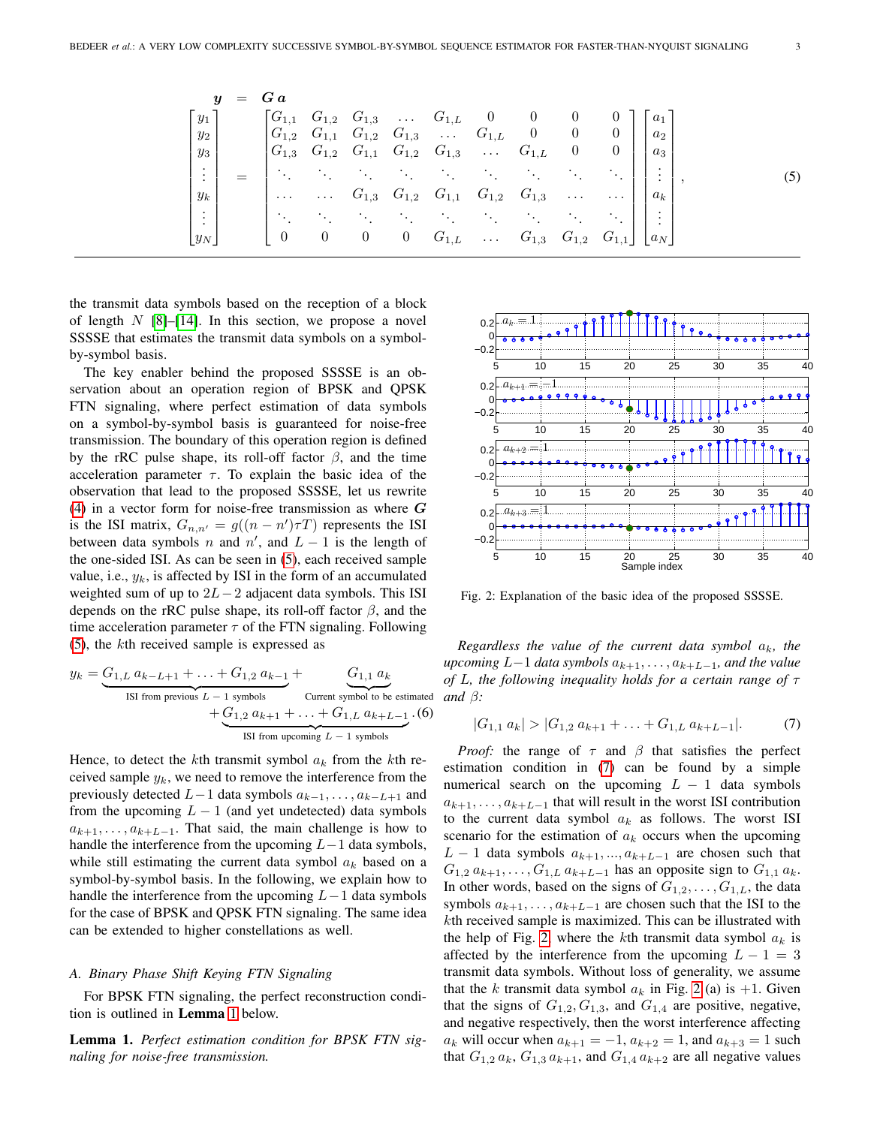<span id="page-2-0"></span>

| $\boldsymbol{y}$                    | $\hspace*{0.4em} = \hspace*{0.4em}$ | $\bm{G}$ $\bm{a}$                    |                      |                                                                                 |                      |                       |                                                                                                                                                                               |                                        |                             |                        |                              |  |  |
|-------------------------------------|-------------------------------------|--------------------------------------|----------------------|---------------------------------------------------------------------------------|----------------------|-----------------------|-------------------------------------------------------------------------------------------------------------------------------------------------------------------------------|----------------------------------------|-----------------------------|------------------------|------------------------------|--|--|
| $y_1$<br>$y_2$                      |                                     | $\lceil G_{1,1} \rceil$<br>$G_{1,2}$ | $G_{1,2}$ $G_{1,3}$  | $G_{1,1}$ $G_{1,2}$ $G_{1,3}$                                                   | $\sim$ $\sim$ $\sim$ | $G_{1,L}$<br>$\ldots$ | $\hspace{0.1em} 0$<br>$G_{1,L}$                                                                                                                                               | $\theta$<br>$\overline{0}$             | U<br>$\overline{0}$         | $\overline{0}$         | $a_1$<br>$a_2$               |  |  |
| $y_3$                               |                                     |                                      |                      | $\begin{vmatrix} G_{1,3} & G_{1,2} & G_{1,1} & G_{1,2} & G_{1,3} \end{vmatrix}$ |                      |                       | $\sim$ . $\sim$                                                                                                                                                               | $G_{1,L}$                              | $\overline{0}$              | $\overline{0}$         | $a_3$                        |  |  |
| $\bullet$<br>$\bullet$<br>$\bullet$ |                                     |                                      |                      |                                                                                 |                      |                       | $\label{eq:2.1} \mathcal{L}^{\mathcal{A}}(\mathcal{A})=\mathcal{L}^{\mathcal{A}}(\mathcal{A})=\mathcal{L}^{\mathcal{A}}(\mathcal{A})=\mathcal{L}^{\mathcal{A}}(\mathcal{A}).$ | $\mathcal{O}(\mathcal{O}_\mathcal{A})$ | $\ddot{\phantom{a}}$ .      | $\ddot{\phantom{a}}$ . | $\mathcal{L}_{\mathrm{eff}}$ |  |  |
| $y_k$                               |                                     | $\cdots$                             | $\sim$ $\sim$ $\sim$ |                                                                                 |                      |                       | $G_{1,3}$ $G_{1,2}$ $G_{1,1}$ $G_{1,2}$                                                                                                                                       | $G_{1,3}$                              | $\cdots$                    | $\cdots$               | $a_k$                        |  |  |
| $\bullet$<br>$\ddot{\phantom{0}}$   |                                     |                                      |                      | $\mathcal{O}(\mathcal{O}_\mathcal{A})$ . The set of $\mathcal{O}_\mathcal{A}$   |                      |                       | $\mathcal{L}_{\mathcal{A}}$                                                                                                                                                   | $\mathcal{L}_{\mathcal{L}}$            | $\mathcal{L}_{\mathcal{L}}$ |                        |                              |  |  |
| $y_N$                               |                                     | $\theta$                             | $\overline{0}$       | $0 \longrightarrow 0$                                                           | $\overline{0}$       | $G_{1,L}$             | $\sim 100$                                                                                                                                                                    | $G_{1,3}$                              | $G_{1,2}$                   | $G_{1,1}$              | $a_N$                        |  |  |

the transmit data symbols based on the reception of a block of length  $N$  [\[8\]](#page-6-6)–[\[14\]](#page-7-0). In this section, we propose a novel SSSSE that estimates the transmit data symbols on a symbolby-symbol basis.

The key enabler behind the proposed SSSSE is an observation about an operation region of BPSK and QPSK FTN signaling, where perfect estimation of data symbols on a symbol-by-symbol basis is guaranteed for noise-free transmission. The boundary of this operation region is defined by the rRC pulse shape, its roll-off factor  $\beta$ , and the time acceleration parameter  $\tau$ . To explain the basic idea of the observation that lead to the proposed SSSSE, let us rewrite [\(4\)](#page-1-4) in a vector form for noise-free transmission as where  $G$ is the ISI matrix,  $G_{n,n'} = g((n - n')\tau T)$  represents the ISI between data symbols *n* and  $n'$ , and  $L - 1$  is the length of the one-sided ISI. As can be seen in [\(5\)](#page-2-0), each received sample value, i.e.,  $y_k$ , is affected by ISI in the form of an accumulated weighted sum of up to  $2L-2$  adjacent data symbols. This ISI depends on the rRC pulse shape, its roll-off factor  $\beta$ , and the time acceleration parameter  $\tau$  of the FTN signaling. Following [\(5\)](#page-2-0), the kth received sample is expressed as

$$
y_k = \underbrace{G_{1,L} a_{k-L+1} + \ldots + G_{1,2} a_{k-1}}_{\text{ISI from previous } L-1 \text{ symbols}} + \underbrace{G_{1,1} a_k}_{\text{Current symbol to be estimated}} + \underbrace{G_{1,2} a_{k+1} + \ldots + G_{1,L} a_{k+L-1}}_{\text{ISI from upcoming } L-1 \text{ symbols}} \cdot (6)
$$

Hence, to detect the kth transmit symbol  $a_k$  from the kth received sample  $y_k$ , we need to remove the interference from the previously detected  $L-1$  data symbols  $a_{k-1}, \ldots, a_{k-L+1}$  and from the upcoming  $L - 1$  (and yet undetected) data symbols  $a_{k+1}, \ldots, a_{k+L-1}$ . That said, the main challenge is how to handle the interference from the upcoming  $L-1$  data symbols, while still estimating the current data symbol  $a_k$  based on a symbol-by-symbol basis. In the following, we explain how to handle the interference from the upcoming  $L-1$  data symbols for the case of BPSK and QPSK FTN signaling. The same idea can be extended to higher constellations as well.

### *A. Binary Phase Shift Keying FTN Signaling*

For BPSK FTN signaling, the perfect reconstruction condition is outlined in Lemma [1](#page-2-1) below.

<span id="page-2-1"></span>Lemma 1. *Perfect estimation condition for BPSK FTN signaling for noise-free transmission.*

<span id="page-2-3"></span>

Fig. 2: Explanation of the basic idea of the proposed SSSSE.

*Regardless the value of the current data symbol*  $a_k$ , the *upcoming*  $L-1$  *data symbols*  $a_{k+1}, \ldots, a_{k+L-1}$ *, and the value of* L*, the following inequality holds for a certain range of* τ *and* β*:*

<span id="page-2-2"></span>
$$
|G_{1,1} a_k| > |G_{1,2} a_{k+1} + \ldots + G_{1,L} a_{k+L-1}|.
$$
 (7)

*Proof:* the range of  $\tau$  and  $\beta$  that satisfies the perfect estimation condition in [\(7\)](#page-2-2) can be found by a simple numerical search on the upcoming  $L - 1$  data symbols  $a_{k+1}, \ldots, a_{k+L-1}$  that will result in the worst ISI contribution to the current data symbol  $a_k$  as follows. The worst ISI scenario for the estimation of  $a_k$  occurs when the upcoming  $L - 1$  data symbols  $a_{k+1},..., a_{k+L-1}$  are chosen such that  $G_{1,2} a_{k+1}, \ldots, G_{1,L} a_{k+L-1}$  has an opposite sign to  $G_{1,1} a_k$ . In other words, based on the signs of  $G_{1,2}, \ldots, G_{1,L}$ , the data symbols  $a_{k+1}, \ldots, a_{k+L-1}$  are chosen such that the ISI to the kth received sample is maximized. This can be illustrated with the help of Fig. [2,](#page-2-3) where the kth transmit data symbol  $a_k$  is affected by the interference from the upcoming  $L - 1 = 3$ transmit data symbols. Without loss of generality, we assume that the k transmit data symbol  $a_k$  in Fig. [2](#page-2-3) (a) is +1. Given that the signs of  $G_{1,2}, G_{1,3}$ , and  $G_{1,4}$  are positive, negative, and negative respectively, then the worst interference affecting  $a_k$  will occur when  $a_{k+1} = -1$ ,  $a_{k+2} = 1$ , and  $a_{k+3} = 1$  such that  $G_{1,2} a_k$ ,  $G_{1,3} a_{k+1}$ , and  $G_{1,4} a_{k+2}$  are all negative values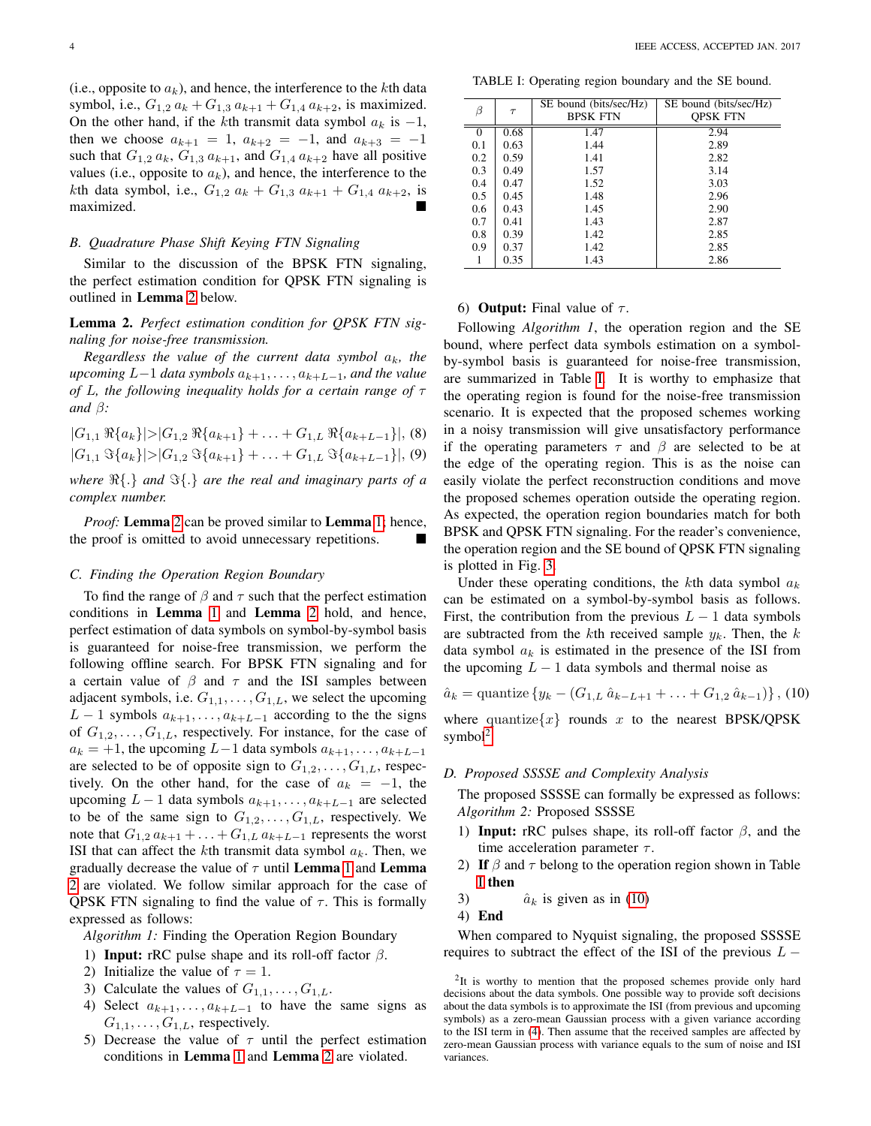(i.e., opposite to  $a_k$ ), and hence, the interference to the kth data symbol, i.e.,  $G_{1,2} a_k + G_{1,3} a_{k+1} + G_{1,4} a_{k+2}$ , is maximized. On the other hand, if the kth transmit data symbol  $a_k$  is  $-1$ , then we choose  $a_{k+1} = 1$ ,  $a_{k+2} = -1$ , and  $a_{k+3} = -1$ such that  $G_{1,2}$   $a_k$ ,  $G_{1,3}$   $a_{k+1}$ , and  $G_{1,4}$   $a_{k+2}$  have all positive values (i.e., opposite to  $a_k$ ), and hence, the interference to the kth data symbol, i.e.,  $G_{1,2} a_k + G_{1,3} a_{k+1} + G_{1,4} a_{k+2}$ , is maximized.

### *B. Quadrature Phase Shift Keying FTN Signaling*

Similar to the discussion of the BPSK FTN signaling, the perfect estimation condition for QPSK FTN signaling is outlined in Lemma [2](#page-3-0) below.

<span id="page-3-0"></span>Lemma 2. *Perfect estimation condition for QPSK FTN signaling for noise-free transmission.*

*Regardless the value of the current data symbol*  $a_k$ *, the upcoming*  $L-1$  *data symbols*  $a_{k+1}, \ldots, a_{k+L-1}$ *, and the value of* L*, the following inequality holds for a certain range of* τ *and* β*:*

$$
|G_{1,1} \mathcal{R}{a_k}| > |G_{1,2} \mathcal{R}{a_{k+1}} + \ldots + G_{1,L} \mathcal{R}{a_{k+L-1}}|, (8)
$$
  

$$
|G_{1,1} \mathcal{S}{a_k}| > |G_{1,2} \mathcal{S}{a_{k+1}} + \ldots + G_{1,L} \mathcal{S}{a_{k+L-1}}|, (9)
$$

where  $\Re\{\cdot\}$  and  $\Im\{\cdot\}$  are the real and imaginary parts of a *complex number.*

*Proof:* Lemma [2](#page-3-0) can be proved similar to Lemma [1;](#page-2-1) hence, the proof is omitted to avoid unnecessary repetitions.

#### *C. Finding the Operation Region Boundary*

To find the range of  $\beta$  and  $\tau$  such that the perfect estimation conditions in Lemma [1](#page-2-1) and Lemma [2](#page-3-0) hold, and hence, perfect estimation of data symbols on symbol-by-symbol basis is guaranteed for noise-free transmission, we perform the following offline search. For BPSK FTN signaling and for a certain value of  $\beta$  and  $\tau$  and the ISI samples between adjacent symbols, i.e.  $G_{1,1}, \ldots, G_{1,L}$ , we select the upcoming  $L-1$  symbols  $a_{k+1}, \ldots, a_{k+L-1}$  according to the the signs of  $G_{1,2}, \ldots, G_{1,L}$ , respectively. For instance, for the case of  $a_k = +1$ , the upcoming  $L-1$  data symbols  $a_{k+1}, \ldots, a_{k+L-1}$ are selected to be of opposite sign to  $G_{1,2}, \ldots, G_{1,L}$ , respectively. On the other hand, for the case of  $a_k = -1$ , the upcoming  $L-1$  data symbols  $a_{k+1}, \ldots, a_{k+L-1}$  are selected to be of the same sign to  $G_{1,2}, \ldots, G_{1,L}$ , respectively. We note that  $G_{1,2} a_{k+1} + \ldots + G_{1,L} a_{k+L-1}$  represents the worst ISI that can affect the kth transmit data symbol  $a_k$ . Then, we gradually decrease the value of  $\tau$  until **Lemma** [1](#page-2-1) and **Lemma** [2](#page-3-0) are violated. We follow similar approach for the case of QPSK FTN signaling to find the value of  $\tau$ . This is formally expressed as follows:

*Algorithm 1:* Finding the Operation Region Boundary

- 1) Input: rRC pulse shape and its roll-off factor  $\beta$ .
- 2) Initialize the value of  $\tau = 1$ .
- 3) Calculate the values of  $G_{1,1}, \ldots, G_{1,L}$ .
- 4) Select  $a_{k+1}, \ldots, a_{k+L-1}$  to have the same signs as  $G_{1,1}, \ldots, G_{1,L}$ , respectively.
- 5) Decrease the value of  $\tau$  until the perfect estimation conditions in Lemma [1](#page-2-1) and Lemma [2](#page-3-0) are violated.

<span id="page-3-1"></span>TABLE I: Operating region boundary and the SE bound.

| β        | $\tau$ | SE bound (bits/sec/Hz)<br><b>BPSK FTN</b> | SE bound (bits/sec/Hz)<br><b>OPSK FTN</b> |  |  |  |
|----------|--------|-------------------------------------------|-------------------------------------------|--|--|--|
| $\theta$ | 0.68   | 1.47                                      | 2.94                                      |  |  |  |
| 0.1      | 0.63   | 1.44                                      | 2.89                                      |  |  |  |
| 0.2      | 0.59   | 1.41                                      | 2.82                                      |  |  |  |
| 0.3      | 0.49   | 1.57                                      | 3.14                                      |  |  |  |
| 0.4      | 0.47   | 1.52                                      | 3.03                                      |  |  |  |
| 0.5      | 0.45   | 1.48                                      | 2.96                                      |  |  |  |
| 0.6      | 0.43   | 1.45                                      | 2.90                                      |  |  |  |
| 0.7      | 0.41   | 1.43                                      | 2.87                                      |  |  |  |
| 0.8      | 0.39   | 1.42                                      | 2.85                                      |  |  |  |
| 0.9      | 0.37   | 1.42                                      | 2.85                                      |  |  |  |
|          | 0.35   | 1.43                                      | 2.86                                      |  |  |  |

## 6) **Output:** Final value of  $\tau$ .

Following *Algorithm 1*, the operation region and the SE bound, where perfect data symbols estimation on a symbolby-symbol basis is guaranteed for noise-free transmission, are summarized in Table [I.](#page-3-1) It is worthy to emphasize that the operating region is found for the noise-free transmission scenario. It is expected that the proposed schemes working in a noisy transmission will give unsatisfactory performance if the operating parameters  $\tau$  and  $\beta$  are selected to be at the edge of the operating region. This is as the noise can easily violate the perfect reconstruction conditions and move the proposed schemes operation outside the operating region. As expected, the operation region boundaries match for both BPSK and QPSK FTN signaling. For the reader's convenience, the operation region and the SE bound of QPSK FTN signaling is plotted in Fig. [3.](#page-4-1)

Under these operating conditions, the  $k$ th data symbol  $a_k$ can be estimated on a symbol-by-symbol basis as follows. First, the contribution from the previous  $L - 1$  data symbols are subtracted from the kth received sample  $y_k$ . Then, the k data symbol  $a_k$  is estimated in the presence of the ISI from the upcoming  $L - 1$  data symbols and thermal noise as

<span id="page-3-3"></span>
$$
\hat{a}_k = \text{quantize} \{ y_k - (G_{1,L} \hat{a}_{k-L+1} + \ldots + G_{1,2} \hat{a}_{k-1}) \}, (10)
$$

where quantize ${x}$  rounds x to the nearest BPSK/QPSK  $symbol{1^2}$  $symbol{1^2}$  $symbol{1^2}$ .

## *D. Proposed SSSSE and Complexity Analysis*

The proposed SSSSE can formally be expressed as follows: *Algorithm 2:* Proposed SSSSE

- 1) Input: rRC pulses shape, its roll-off factor  $\beta$ , and the time acceleration parameter  $\tau$ .
- 2) If  $\beta$  and  $\tau$  belong to the operation region shown in Table [I](#page-3-1) then
- 3)  $\hat{a}_k$  is given as in [\(10\)](#page-3-3)
- 4) End

When compared to Nyquist signaling, the proposed SSSSE requires to subtract the effect of the ISI of the previous  $L -$ 

<span id="page-3-2"></span><sup>&</sup>lt;sup>2</sup>It is worthy to mention that the proposed schemes provide only hard decisions about the data symbols. One possible way to provide soft decisions about the data symbols is to approximate the ISI (from previous and upcoming symbols) as a zero-mean Gaussian process with a given variance according to the ISI term in [\(4\)](#page-1-4). Then assume that the received samples are affected by zero-mean Gaussian process with variance equals to the sum of noise and ISI variances.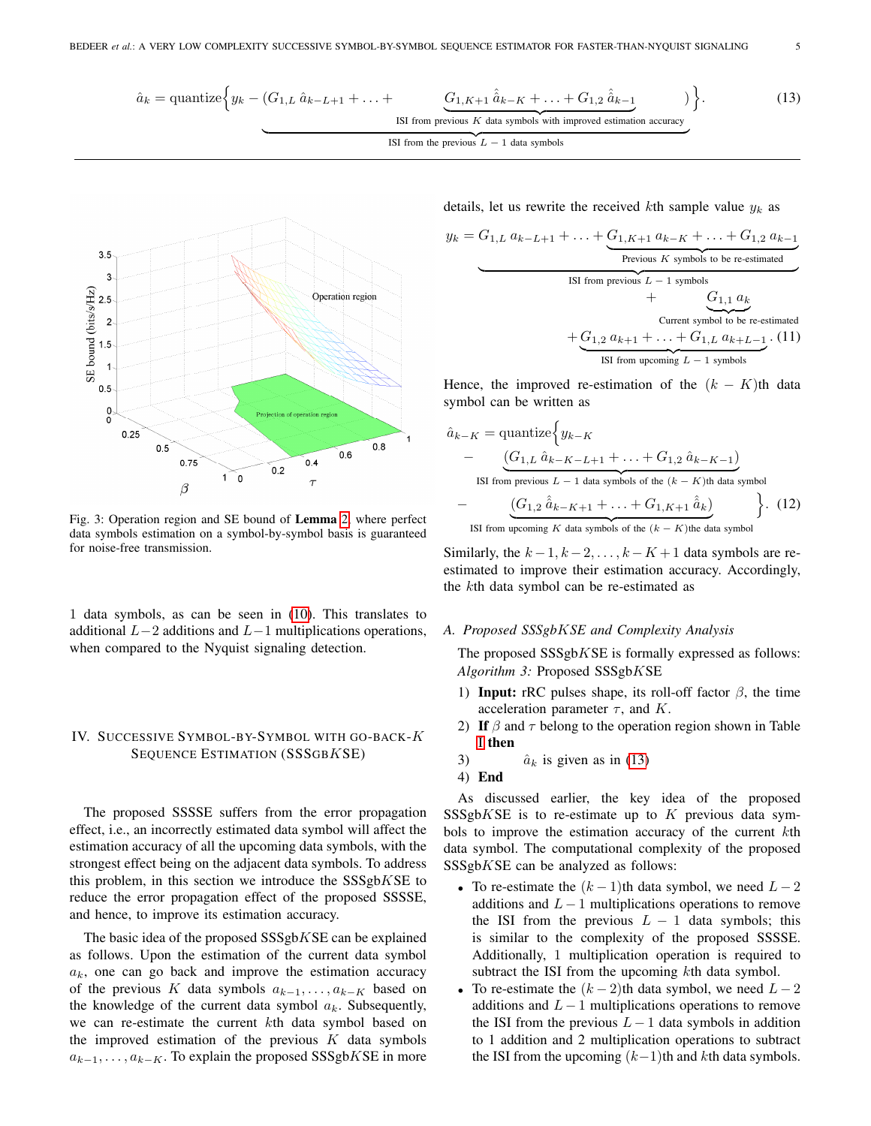$$
\mathfrak{s}
$$

<span id="page-4-2"></span>
$$
\hat{a}_k
$$
 = quantize $\left\{ y_k - (G_{1,L} \hat{a}_{k-L+1} + ... + G_{1,K+1} \hat{a}_{k-K} + ... + G_{1,2} \hat{a}_{k-K+1} + ... + G_{1,K+1} \hat{a}_{k-K+1} + ... + G_{1,K+1} \hat{a}_{k-K+1} + ... + G_{1,K+1} \hat{a}_{k-K+1} + ... + G_{1,K+1} \hat{a}_{k-K+1} + ... + G_{1,K+1} \hat{a}_{k-K+1} + ... + G_{1,K+1} \hat{a}_{k-K+1} + ... + G_{1,K+1} \hat{a}_{k-K+1} + ... + G_{1,K+1} \hat{a}_{k-K+1} + ... + G_{1,K+1} \hat{a}_{k-K+1} + ... + G_{1,K+1} \hat{a}_{k-K+1} + ... + G_{1,K+1} \hat{a}_{k-K+1} + ... + G_{1,K+1} \hat{a}_{k-K+1} + ... + G_{1,K+1} \hat{a}_{k-K+1} + ... + G_{1,K+1} \hat{a}_{k-K+1} + ... + G_{1,K+1} \hat{a}_{k-K+1} + ... + G_{1,K+1} \hat{a}_{k-K+1} + ... + G_{1,K+1} \hat{a}_{k-K+1} + ... + G_{1,K+1} \hat{a}_{k-K+1} + ... + G_{1,K+1} \hat{a}_{k-K+1} + ... + G_{1,K+1} \hat{a}_{k-K+1} + ... + G_{1,K+1} \hat{a}_{k-K+1} + ... + G_{1,K+1} \hat{a}_{k-K+1} + ... + G_{1,K+1} \hat{a}_{k-K+1} + ... + G_{1,K+1} \hat{a}_{k-K+1} + ... + G_{1,K+1} \hat{a}_{k-K+1} + ... + G_{1,K+1} \hat{a}_{k-K+1} + ... + G_{1,K+1} \hat{a}_{k-K+1} + ... + G_{1,K+1} \hat{a}_{k-K+1} + ... + G_{1,K+1} \hat{a}_{k-K+1} + ... + G_{1,K+1} \hat{a}_{k-K+1} + ... + G_{1,K+1} \hat{a}_{k-K+1} + ... + G_{1,K+1} \hat{a}_{k-K+1} + ... + G_{1,K+1} \hat{a}_{k-K+1} + ... + G_{1,K+1} \hat{a}_{k-K+1} + ... + G_{1,K+1$ 

$$
\underbrace{G_{1,K+1}\hat{a}_{k-K} + \ldots + G_{1,2}\hat{a}_{k-1}}_{(13)}
$$

ISI from previous  $K$  data symbols with improved estimation accuracy

ISI from the previous  $L - 1$  data symbols

<span id="page-4-1"></span> $3.5$ 3 SE bound (bits/s/Hz) Operation region  $2.5$  $\overline{a}$  $1.5$  $\overline{1}$  $0.5$  $_{\rm o}^{\rm o}$  $0.25$  $0.5$  $0.8$  $0.6$ 0.75  $0.4$  $0.2$  $1^{-}$ ັດ  $\tau$  $\beta$ 

Fig. 3: Operation region and SE bound of Lemma [2,](#page-3-0) where perfect data symbols estimation on a symbol-by-symbol basis is guaranteed for noise-free transmission.

1 data symbols, as can be seen in [\(10\)](#page-3-3). This translates to additional  $L-2$  additions and  $L-1$  multiplications operations, when compared to the Nyquist signaling detection.

# <span id="page-4-0"></span>IV. SUCCESSIVE SYMBOL-BY-SYMBOL WITH GO-BACK-K SEQUENCE ESTIMATION (SSSGBKSE)

The proposed SSSSE suffers from the error propagation effect, i.e., an incorrectly estimated data symbol will affect the estimation accuracy of all the upcoming data symbols, with the strongest effect being on the adjacent data symbols. To address this problem, in this section we introduce the  $SSSgbKSE$  to reduce the error propagation effect of the proposed SSSSE, and hence, to improve its estimation accuracy.

The basic idea of the proposed  $SSSgbKSE$  can be explained as follows. Upon the estimation of the current data symbol  $a_k$ , one can go back and improve the estimation accuracy of the previous K data symbols  $a_{k-1}, \ldots, a_{k-K}$  based on the knowledge of the current data symbol  $a_k$ . Subsequently, we can re-estimate the current kth data symbol based on the improved estimation of the previous  $K$  data symbols  $a_{k-1}, \ldots, a_{k-K}$ . To explain the proposed SSSgbKSE in more details, let us rewrite the received kth sample value  $y_k$  as

$$
y_k = G_{1,L} a_{k-L+1} + \ldots + G_{1,K+1} a_{k-K} + \ldots + G_{1,2} a_{k-1}
$$
  
Previous *K* symbols to be re-estimated  
ISI from previous *L* – 1 symbols  
+ 
$$
G_{1,1} a_k
$$
  
Current symbol to be re-estimated  
+ 
$$
G_{1,2} a_{k+1} + \ldots + G_{1,L} a_{k+L-1} \tbinom{11}{k}
$$
  
ISI from upcoming *L* – 1 symbols

Hence, the improved re-estimation of the  $(k - K)$ th data symbol can be written as

$$
\hat{a}_{k-K} = \text{quantize}\Big\{ y_{k-K}
$$
\n
$$
- \underbrace{(G_{1,L} \hat{a}_{k-K-L+1} + \dots + G_{1,2} \hat{a}_{k-K-1})}_{\text{ISI from previous } L-1 \text{ data symbols of the } (k-K)\text{th data symbol}}
$$
\n
$$
- \underbrace{(G_{1,2} \hat{\hat{a}}_{k-K+1} + \dots + G_{1,K+1} \hat{\hat{a}}_k)}_{\text{SUS}} \Big\}. \tag{12}
$$

ISI from upcoming K data symbols of the  $(k - K)$ the data symbol

Similarly, the  $k-1, k-2, \ldots, k-K+1$  data symbols are reestimated to improve their estimation accuracy. Accordingly, the kth data symbol can be re-estimated as

# *A. Proposed SSSgb*K*SE and Complexity Analysis*

The proposed SSSgbKSE is formally expressed as follows: *Algorithm 3:* Proposed SSSgbKSE

- 1) Input: rRC pulses shape, its roll-off factor  $\beta$ , the time acceleration parameter  $\tau$ , and K.
- 2) If  $\beta$  and  $\tau$  belong to the operation region shown in Table [I](#page-3-1) then
- 3)  $\hat{a}_k$  is given as in [\(13\)](#page-4-2)
- 4) End

As discussed earlier, the key idea of the proposed SSSgb $KSE$  is to re-estimate up to K previous data symbols to improve the estimation accuracy of the current kth data symbol. The computational complexity of the proposed SSSgbKSE can be analyzed as follows:

- To re-estimate the  $(k-1)$ th data symbol, we need  $L-2$ additions and  $L - 1$  multiplications operations to remove the ISI from the previous  $L - 1$  data symbols; this is similar to the complexity of the proposed SSSSE. Additionally, 1 multiplication operation is required to subtract the ISI from the upcoming kth data symbol.
- To re-estimate the  $(k-2)$ th data symbol, we need  $L-2$ additions and  $L - 1$  multiplications operations to remove the ISI from the previous  $L - 1$  data symbols in addition to 1 addition and 2 multiplication operations to subtract the ISI from the upcoming  $(k-1)$ th and kth data symbols.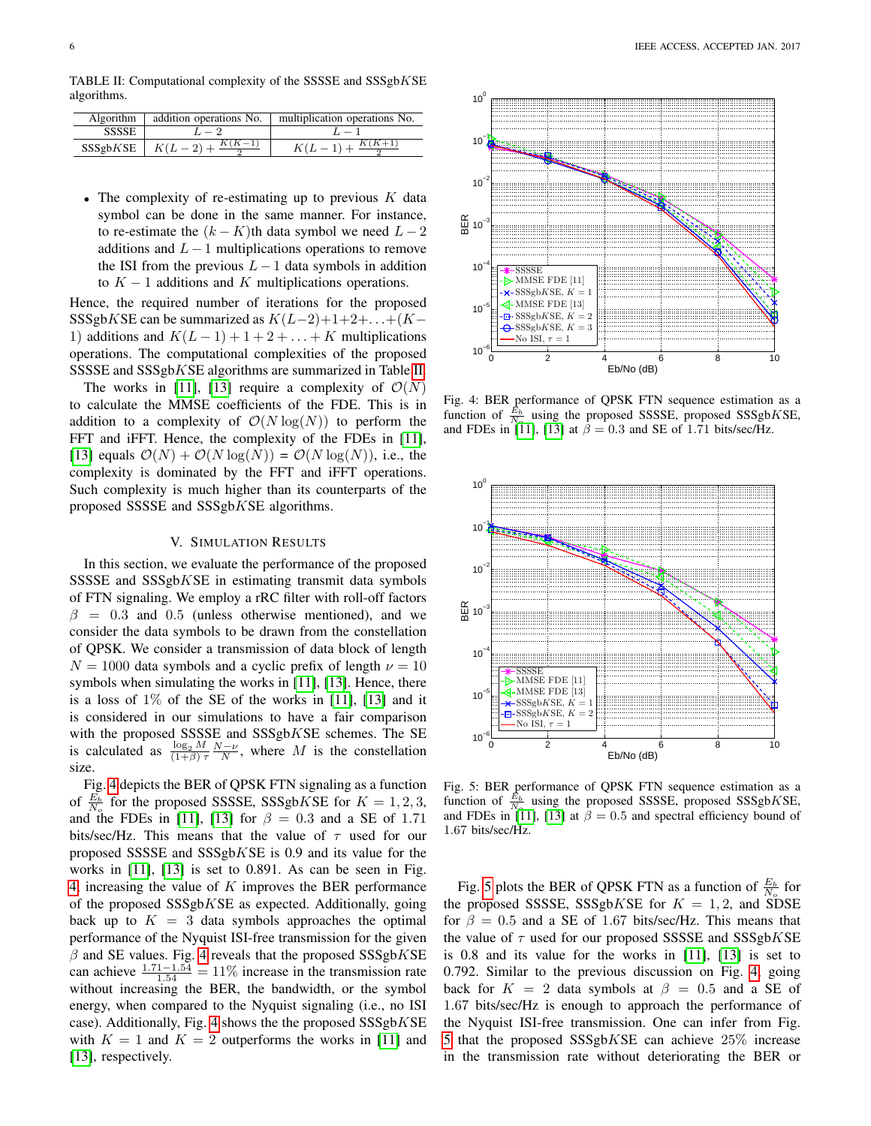<span id="page-5-1"></span>TABLE II: Computational complexity of the SSSSE and SSSgbKSE algorithms.

| Algorithm | addition operations No. | multiplication operations No. |
|-----------|-------------------------|-------------------------------|
| SSSSE     |                         |                               |
| SSSgbKSE  | $K(L-2) +$              |                               |

• The complexity of re-estimating up to previous  $K$  data symbol can be done in the same manner. For instance, to re-estimate the  $(k - K)$ th data symbol we need  $L - 2$ additions and  $L - 1$  multiplications operations to remove the ISI from the previous  $L - 1$  data symbols in addition to  $K - 1$  additions and K multiplications operations.

Hence, the required number of iterations for the proposed SSSgbKSE can be summarized as  $K(L-2)+1+2+\ldots+(K-$ 1) additions and  $K(L-1) + 1 + 2 + \ldots + K$  multiplications operations. The computational complexities of the proposed SSSSE and SSSgbKSE algorithms are summarized in Table [II.](#page-5-1)

The works in [\[11\]](#page-6-9), [\[13\]](#page-6-11) require a complexity of  $\mathcal{O}(N)$ to calculate the MMSE coefficients of the FDE. This is in addition to a complexity of  $\mathcal{O}(N \log(N))$  to perform the FFT and iFFT. Hence, the complexity of the FDEs in [\[11\]](#page-6-9), [\[13\]](#page-6-11) equals  $\mathcal{O}(N) + \mathcal{O}(N \log(N)) = \mathcal{O}(N \log(N))$ , i.e., the complexity is dominated by the FFT and iFFT operations. Such complexity is much higher than its counterparts of the proposed SSSSE and SSSgbKSE algorithms.

#### V. SIMULATION RESULTS

<span id="page-5-0"></span>In this section, we evaluate the performance of the proposed SSSSE and SSSgbKSE in estimating transmit data symbols of FTN signaling. We employ a rRC filter with roll-off factors  $\beta = 0.3$  and 0.5 (unless otherwise mentioned), and we consider the data symbols to be drawn from the constellation of QPSK. We consider a transmission of data block of length  $N = 1000$  data symbols and a cyclic prefix of length  $\nu = 10$ symbols when simulating the works in [\[11\]](#page-6-9), [\[13\]](#page-6-11). Hence, there is a loss of  $1\%$  of the SE of the works in [\[11\]](#page-6-9), [\[13\]](#page-6-11) and it is considered in our simulations to have a fair comparison with the proposed SSSSE and SSSgbKSE schemes. The SE is calculated as  $\frac{\log_2 M}{(1+\beta)\tau} \frac{N-\nu}{N}$ , where M is the constellation size.

Fig. [4](#page-5-2) depicts the BER of QPSK FTN signaling as a function of  $\frac{E_b}{N_o}$  for the proposed SSSSE, SSSgbKSE for  $K = 1, 2, 3$ , and the FDEs in [\[11\]](#page-6-9), [\[13\]](#page-6-11) for  $\beta = 0.3$  and a SE of 1.71 bits/sec/Hz. This means that the value of  $\tau$  used for our proposed SSSSE and SSSgbKSE is 0.9 and its value for the works in [\[11\]](#page-6-9), [\[13\]](#page-6-11) is set to 0.891. As can be seen in Fig. [4,](#page-5-2) increasing the value of  $K$  improves the BER performance of the proposed SSSgbKSE as expected. Additionally, going back up to  $K = 3$  data symbols approaches the optimal performance of the Nyquist ISI-free transmission for the given  $\beta$  and SE values. Fig. [4](#page-5-2) reveals that the proposed SSSgbKSE can achieve  $\frac{1.71-1.54}{1.54} = 11\%$  increase in the transmission rate without increasing the BER, the bandwidth, or the symbol energy, when compared to the Nyquist signaling (i.e., no ISI case). Additionally, Fig. [4](#page-5-2) shows the the proposed  $SSSgbKSE$ with  $K = 1$  and  $K = 2$  outperforms the works in [\[11\]](#page-6-9) and [\[13\]](#page-6-11), respectively.

<span id="page-5-2"></span>

Fig. 4: BER performance of QPSK FTN sequence estimation as a function of  $\frac{E_b}{N_a}$  using the proposed SSSSE, proposed SSSgbKSE, and FDEs in [\[11\]](#page-6-9), [\[13\]](#page-6-11) at  $\hat{\beta} = 0.3$  and SE of 1.71 bits/sec/Hz.

<span id="page-5-3"></span>

Fig. 5: BER performance of QPSK FTN sequence estimation as a function of  $\frac{E}{\lambda}$ and FDEs in [\[11\]](#page-6-9), [\[13\]](#page-6-11) at  $\beta = 0.5$  and spectral efficiency bound of  $\frac{\partial b}{\partial L}$  using the proposed SSSSE, proposed SSSgbKSE, 1.67 bits/sec/Hz.

Fig. [5](#page-5-3) plots the BER of QPSK FTN as a function of  $\frac{E_b}{N_o}$  for the proposed SSSSE, SSSgbKSE for  $K = 1, 2$ , and SDSE for  $\beta = 0.5$  and a SE of 1.67 bits/sec/Hz. This means that the value of  $\tau$  used for our proposed SSSSE and SSSgbKSE is 0.8 and its value for the works in [\[11\]](#page-6-9), [\[13\]](#page-6-11) is set to 0.792. Similar to the previous discussion on Fig. [4,](#page-5-2) going back for  $K = 2$  data symbols at  $\beta = 0.5$  and a SE of 1.67 bits/sec/Hz is enough to approach the performance of the Nyquist ISI-free transmission. One can infer from Fig. [5](#page-5-3) that the proposed SSSgbKSE can achieve 25% increase in the transmission rate without deteriorating the BER or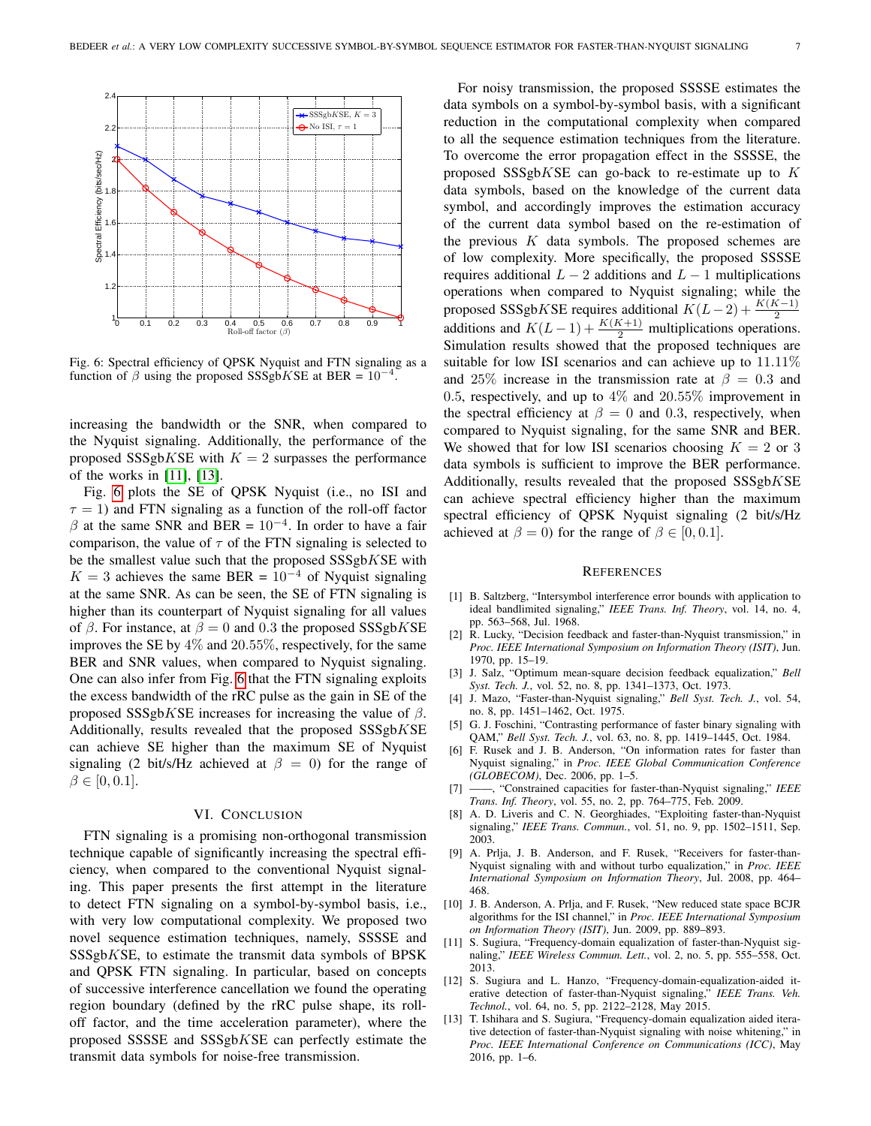<span id="page-6-13"></span>

Fig. 6: Spectral efficiency of QPSK Nyquist and FTN signaling as a function of  $\beta$  using the proposed SSSgbKSE at BER =  $10^{-4}$ .

increasing the bandwidth or the SNR, when compared to the Nyquist signaling. Additionally, the performance of the proposed SSSgbKSE with  $K = 2$  surpasses the performance of the works in [\[11\]](#page-6-9), [\[13\]](#page-6-11).

Fig. [6](#page-6-13) plots the SE of QPSK Nyquist (i.e., no ISI and  $\tau = 1$ ) and FTN signaling as a function of the roll-off factor  $\beta$  at the same SNR and BER = 10<sup>-4</sup>. In order to have a fair comparison, the value of  $\tau$  of the FTN signaling is selected to be the smallest value such that the proposed  $SSSgbKSE$  with  $K = 3$  achieves the same BER =  $10^{-4}$  of Nyquist signaling at the same SNR. As can be seen, the SE of FTN signaling is higher than its counterpart of Nyquist signaling for all values of  $\beta$ . For instance, at  $\beta = 0$  and 0.3 the proposed SSSgbKSE improves the SE by  $4\%$  and  $20.55\%$ , respectively, for the same BER and SNR values, when compared to Nyquist signaling. One can also infer from Fig. [6](#page-6-13) that the FTN signaling exploits the excess bandwidth of the rRC pulse as the gain in SE of the proposed SSSgbKSE increases for increasing the value of  $\beta$ . Additionally, results revealed that the proposed SSSgbKSE can achieve SE higher than the maximum SE of Nyquist signaling (2 bit/s/Hz achieved at  $\beta = 0$ ) for the range of  $\beta \in [0, 0.1].$ 

### VI. CONCLUSION

<span id="page-6-12"></span>FTN signaling is a promising non-orthogonal transmission technique capable of significantly increasing the spectral efficiency, when compared to the conventional Nyquist signaling. This paper presents the first attempt in the literature to detect FTN signaling on a symbol-by-symbol basis, i.e., with very low computational complexity. We proposed two novel sequence estimation techniques, namely, SSSSE and SSSgbKSE, to estimate the transmit data symbols of BPSK and QPSK FTN signaling. In particular, based on concepts of successive interference cancellation we found the operating region boundary (defined by the rRC pulse shape, its rolloff factor, and the time acceleration parameter), where the proposed SSSSE and SSSgbKSE can perfectly estimate the transmit data symbols for noise-free transmission.

For noisy transmission, the proposed SSSSE estimates the data symbols on a symbol-by-symbol basis, with a significant reduction in the computational complexity when compared to all the sequence estimation techniques from the literature. To overcome the error propagation effect in the SSSSE, the proposed SSSgb $KSE$  can go-back to re-estimate up to  $K$ data symbols, based on the knowledge of the current data symbol, and accordingly improves the estimation accuracy of the current data symbol based on the re-estimation of the previous  $K$  data symbols. The proposed schemes are of low complexity. More specifically, the proposed SSSSE requires additional  $L - 2$  additions and  $L - 1$  multiplications operations when compared to Nyquist signaling; while the proposed SSSgbKSE requires additional  $K(L-2) + \frac{K(K-1)}{2}$ additions and  $K(L-1) + \frac{K(K+1)}{2}$  multiplications operations. Simulation results showed that the proposed techniques are suitable for low ISI scenarios and can achieve up to 11.11% and 25% increase in the transmission rate at  $\beta = 0.3$  and 0.5, respectively, and up to 4% and 20.55% improvement in the spectral efficiency at  $\beta = 0$  and 0.3, respectively, when compared to Nyquist signaling, for the same SNR and BER. We showed that for low ISI scenarios choosing  $K = 2$  or 3 data symbols is sufficient to improve the BER performance. Additionally, results revealed that the proposed SSSgbKSE can achieve spectral efficiency higher than the maximum spectral efficiency of QPSK Nyquist signaling (2 bit/s/Hz achieved at  $\beta = 0$ ) for the range of  $\beta \in [0, 0.1]$ .

#### **REFERENCES**

- <span id="page-6-0"></span>[1] B. Saltzberg, "Intersymbol interference error bounds with application to ideal bandlimited signaling," *IEEE Trans. Inf. Theory*, vol. 14, no. 4, pp. 563–568, Jul. 1968.
- [2] R. Lucky, "Decision feedback and faster-than-Nyquist transmission," in *Proc. IEEE International Symposium on Information Theory (ISIT)*, Jun. 1970, pp. 15–19.
- <span id="page-6-1"></span>[3] J. Salz, "Optimum mean-square decision feedback equalization," *Bell Syst. Tech. J.*, vol. 52, no. 8, pp. 1341–1373, Oct. 1973.
- <span id="page-6-2"></span>[4] J. Mazo, "Faster-than-Nyquist signaling," *Bell Syst. Tech. J.*, vol. 54, no. 8, pp. 1451–1462, Oct. 1975.
- <span id="page-6-3"></span>[5] G. J. Foschini, "Contrasting performance of faster binary signaling with QAM," *Bell Syst. Tech. J.*, vol. 63, no. 8, pp. 1419–1445, Oct. 1984.
- <span id="page-6-4"></span>[6] F. Rusek and J. B. Anderson, "On information rates for faster than Nyquist signaling," in *Proc. IEEE Global Communication Conference (GLOBECOM)*, Dec. 2006, pp. 1–5.
- <span id="page-6-5"></span>[7] ——, "Constrained capacities for faster-than-Nyquist signaling," *IEEE Trans. Inf. Theory*, vol. 55, no. 2, pp. 764–775, Feb. 2009.
- <span id="page-6-6"></span>[8] A. D. Liveris and C. N. Georghiades, "Exploiting faster-than-Nyquist signaling," *IEEE Trans. Commun.*, vol. 51, no. 9, pp. 1502–1511, Sep. 2003.
- <span id="page-6-7"></span>[9] A. Prlja, J. B. Anderson, and F. Rusek, "Receivers for faster-than-Nyquist signaling with and without turbo equalization," in *Proc. IEEE International Symposium on Information Theory*, Jul. 2008, pp. 464– 468.
- <span id="page-6-8"></span>[10] J. B. Anderson, A. Prlja, and F. Rusek, "New reduced state space BCJR algorithms for the ISI channel," in *Proc. IEEE International Symposium on Information Theory (ISIT)*, Jun. 2009, pp. 889–893.
- <span id="page-6-9"></span>[11] S. Sugiura, "Frequency-domain equalization of faster-than-Nyquist signaling," *IEEE Wireless Commun. Lett.*, vol. 2, no. 5, pp. 555–558, Oct. 2013.
- <span id="page-6-10"></span>[12] S. Sugiura and L. Hanzo, "Frequency-domain-equalization-aided iterative detection of faster-than-Nyquist signaling," *IEEE Trans. Veh. Technol.*, vol. 64, no. 5, pp. 2122–2128, May 2015.
- <span id="page-6-11"></span>[13] T. Ishihara and S. Sugiura, "Frequency-domain equalization aided iterative detection of faster-than-Nyquist signaling with noise whitening," in *Proc. IEEE International Conference on Communications (ICC)*, May 2016, pp. 1–6.